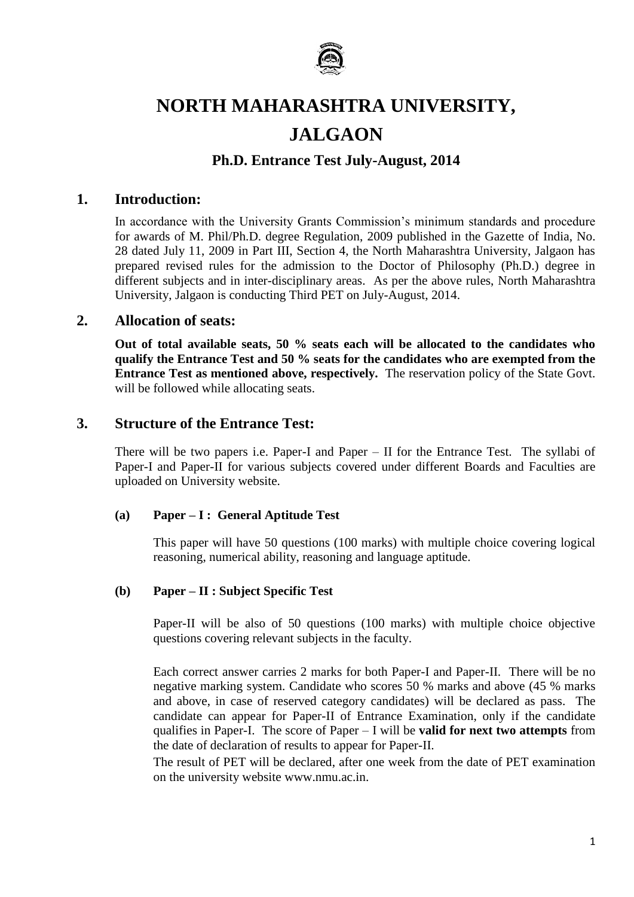

# **NORTH MAHARASHTRA UNIVERSITY, JALGAON**

# **Ph.D. Entrance Test July-August, 2014**

#### **1. Introduction:**

In accordance with the University Grants Commission's minimum standards and procedure for awards of M. Phil/Ph.D. degree Regulation, 2009 published in the Gazette of India, No. 28 dated July 11, 2009 in Part III, Section 4, the North Maharashtra University, Jalgaon has prepared revised rules for the admission to the Doctor of Philosophy (Ph.D.) degree in different subjects and in inter-disciplinary areas. As per the above rules, North Maharashtra University, Jalgaon is conducting Third PET on July-August, 2014.

#### **2. Allocation of seats:**

**Out of total available seats, 50 % seats each will be allocated to the candidates who qualify the Entrance Test and 50 % seats for the candidates who are exempted from the Entrance Test as mentioned above, respectively.** The reservation policy of the State Govt. will be followed while allocating seats.

#### **3. Structure of the Entrance Test:**

There will be two papers i.e. Paper-I and Paper – II for the Entrance Test. The syllabi of Paper-I and Paper-II for various subjects covered under different Boards and Faculties are uploaded on University website.

#### **(a) Paper – I : General Aptitude Test**

This paper will have 50 questions (100 marks) with multiple choice covering logical reasoning, numerical ability, reasoning and language aptitude.

#### **(b) Paper – II : Subject Specific Test**

Paper-II will be also of 50 questions (100 marks) with multiple choice objective questions covering relevant subjects in the faculty.

Each correct answer carries 2 marks for both Paper-I and Paper-II. There will be no negative marking system. Candidate who scores 50 % marks and above (45 % marks and above, in case of reserved category candidates) will be declared as pass. The candidate can appear for Paper-II of Entrance Examination, only if the candidate qualifies in Paper-I. The score of Paper – I will be **valid for next two attempts** from the date of declaration of results to appear for Paper-II.

The result of PET will be declared, after one week from the date of PET examination on the university website www.nmu.ac.in.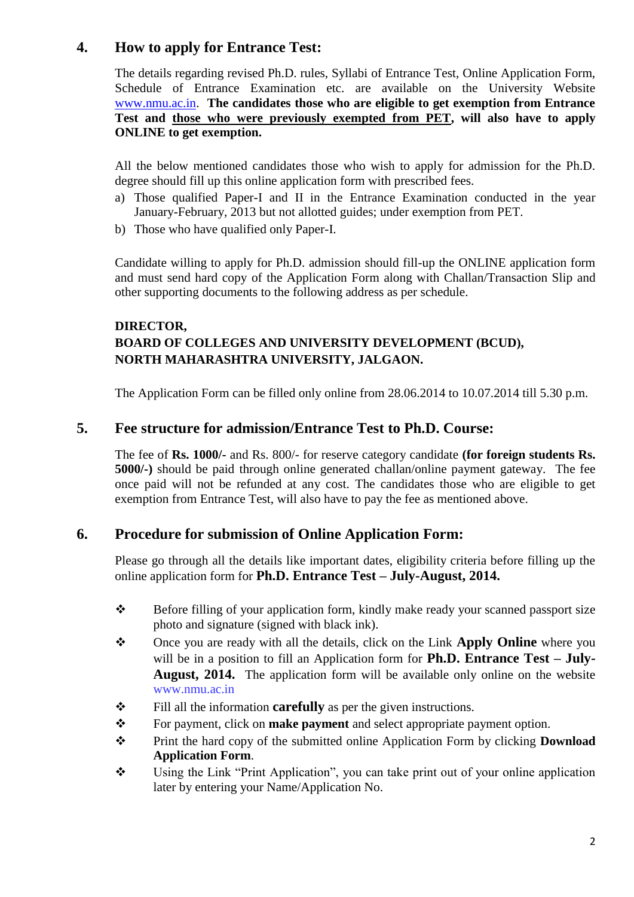# **4. How to apply for Entrance Test:**

The details regarding revised Ph.D. rules, Syllabi of Entrance Test, Online Application Form, Schedule of Entrance Examination etc. are available on the University Website [www.nmu.ac.in.](http://www.nmu.ac.in/) **The candidates those who are eligible to get exemption from Entrance Test and those who were previously exempted from PET, will also have to apply ONLINE to get exemption.**

All the below mentioned candidates those who wish to apply for admission for the Ph.D. degree should fill up this online application form with prescribed fees.

- a) Those qualified Paper-I and II in the Entrance Examination conducted in the year January-February, 2013 but not allotted guides; under exemption from PET.
- b) Those who have qualified only Paper-I.

Candidate willing to apply for Ph.D. admission should fill-up the ONLINE application form and must send hard copy of the Application Form along with Challan/Transaction Slip and other supporting documents to the following address as per schedule.

#### **DIRECTOR, BOARD OF COLLEGES AND UNIVERSITY DEVELOPMENT (BCUD), NORTH MAHARASHTRA UNIVERSITY, JALGAON.**

The Application Form can be filled only online from 28.06.2014 to 10.07.2014 till 5.30 p.m.

#### **5. Fee structure for admission/Entrance Test to Ph.D. Course:**

The fee of **Rs. 1000/-** and Rs. 800/- for reserve category candidate **(for foreign students Rs. 5000/-)** should be paid through online generated challan/online payment gateway. The fee once paid will not be refunded at any cost. The candidates those who are eligible to get exemption from Entrance Test, will also have to pay the fee as mentioned above.

## **6. Procedure for submission of Online Application Form:**

Please go through all the details like important dates, eligibility criteria before filling up the online application form for **Ph.D. Entrance Test – July-August, 2014.**

- Before filling of your application form, kindly make ready your scanned passport size photo and signature (signed with black ink).
- Once you are ready with all the details, click on the Link **Apply Online** where you will be in a position to fill an Application form for **Ph.D. Entrance Test – July-August, 2014.** The application form will be available only online on the website www.nmu.ac.in
- **Fill all the information <b>carefully** as per the given instructions.
- \* For payment, click on **make payment** and select appropriate payment option.
- Print the hard copy of the submitted online Application Form by clicking **Download Application Form**.
- \* Using the Link "Print Application", you can take print out of your online application later by entering your Name/Application No.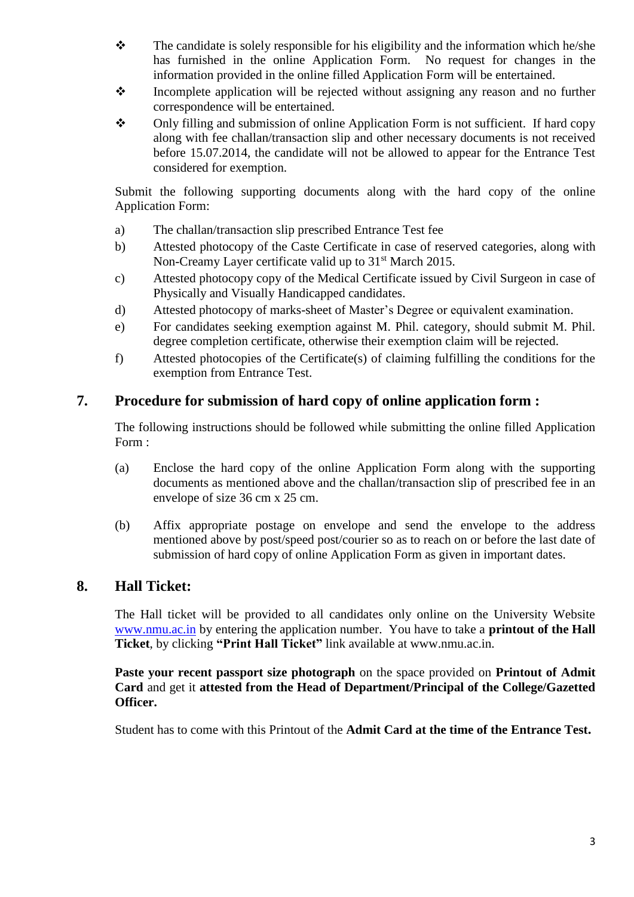- $\mathbf{\hat{P}}$  The candidate is solely responsible for his eligibility and the information which he/she has furnished in the online Application Form. No request for changes in the information provided in the online filled Application Form will be entertained.
- \* Incomplete application will be rejected without assigning any reason and no further correspondence will be entertained.
- Only filling and submission of online Application Form is not sufficient. If hard copy along with fee challan/transaction slip and other necessary documents is not received before 15.07.2014, the candidate will not be allowed to appear for the Entrance Test considered for exemption.

Submit the following supporting documents along with the hard copy of the online Application Form:

- a) The challan/transaction slip prescribed Entrance Test fee
- b) Attested photocopy of the Caste Certificate in case of reserved categories, along with Non-Creamy Layer certificate valid up to 31<sup>st</sup> March 2015.
- c) Attested photocopy copy of the Medical Certificate issued by Civil Surgeon in case of Physically and Visually Handicapped candidates.
- d) Attested photocopy of marks-sheet of Master's Degree or equivalent examination.
- e) For candidates seeking exemption against M. Phil. category, should submit M. Phil. degree completion certificate, otherwise their exemption claim will be rejected.
- f) Attested photocopies of the Certificate(s) of claiming fulfilling the conditions for the exemption from Entrance Test.

## **7. Procedure for submission of hard copy of online application form :**

The following instructions should be followed while submitting the online filled Application Form :

- (a) Enclose the hard copy of the online Application Form along with the supporting documents as mentioned above and the challan/transaction slip of prescribed fee in an envelope of size 36 cm x 25 cm.
- (b) Affix appropriate postage on envelope and send the envelope to the address mentioned above by post/speed post/courier so as to reach on or before the last date of submission of hard copy of online Application Form as given in important dates.

## **8. Hall Ticket:**

The Hall ticket will be provided to all candidates only online on the University Website [www.nmu.ac.in](http://www.nmu.ac.in/) by entering the application number. You have to take a **printout of the Hall Ticket**, by clicking **"Print Hall Ticket"** link available at www.nmu.ac.in.

**Paste your recent passport size photograph** on the space provided on **Printout of Admit Card** and get it **attested from the Head of Department/Principal of the College/Gazetted Officer.**

Student has to come with this Printout of the **Admit Card at the time of the Entrance Test.**